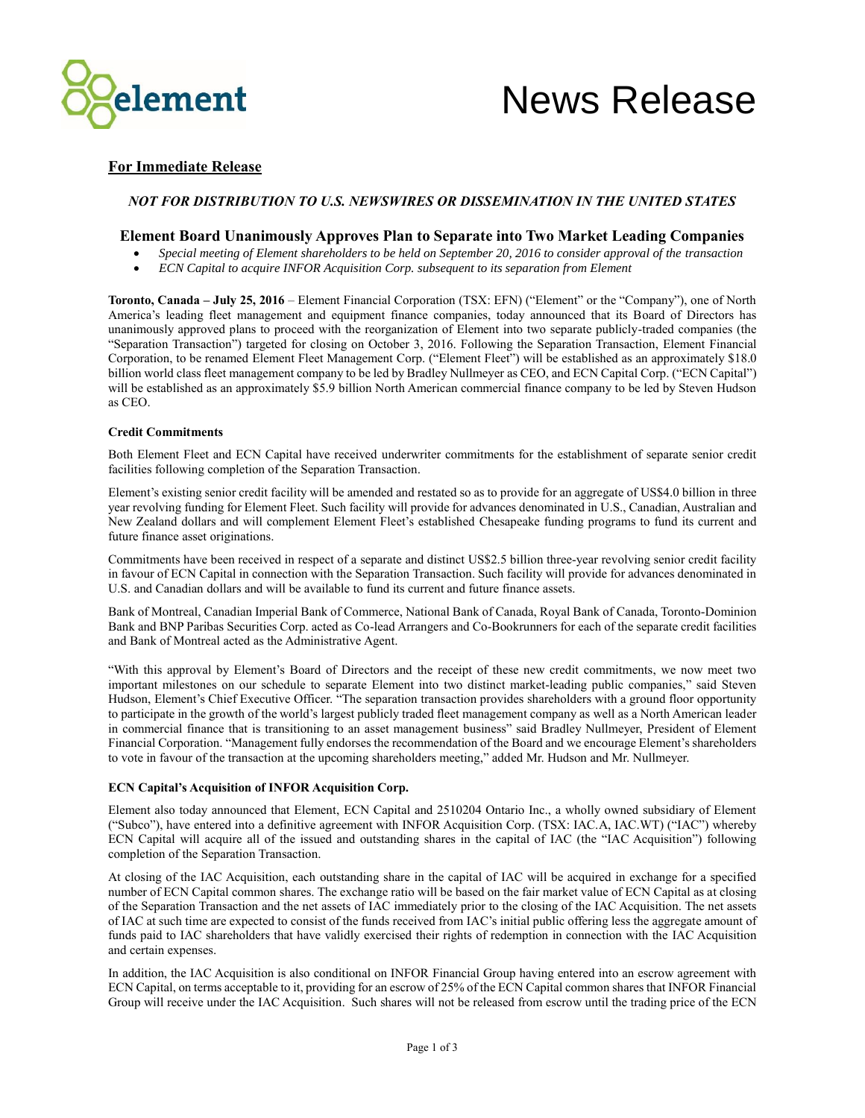

# **For Immediate Release**

# *NOT FOR DISTRIBUTION TO U.S. NEWSWIRES OR DISSEMINATION IN THE UNITED STATES*

# **Element Board Unanimously Approves Plan to Separate into Two Market Leading Companies**

- *Special meeting of Element shareholders to be held on September 20, 2016 to consider approval of the transaction*
- *ECN Capital to acquire INFOR Acquisition Corp. subsequent to its separation from Element*

**Toronto, Canada – July 25, 2016** – Element Financial Corporation (TSX: EFN) ("Element" or the "Company"), one of North America's leading fleet management and equipment finance companies, today announced that its Board of Directors has unanimously approved plans to proceed with the reorganization of Element into two separate publicly-traded companies (the "Separation Transaction") targeted for closing on October 3, 2016. Following the Separation Transaction, Element Financial Corporation, to be renamed Element Fleet Management Corp. ("Element Fleet") will be established as an approximately \$18.0 billion world class fleet management company to be led by Bradley Nullmeyer as CEO, and ECN Capital Corp. ("ECN Capital") will be established as an approximately \$5.9 billion North American commercial finance company to be led by Steven Hudson as CEO.

### **Credit Commitments**

Both Element Fleet and ECN Capital have received underwriter commitments for the establishment of separate senior credit facilities following completion of the Separation Transaction.

Element's existing senior credit facility will be amended and restated so as to provide for an aggregate of US\$4.0 billion in three year revolving funding for Element Fleet. Such facility will provide for advances denominated in U.S., Canadian, Australian and New Zealand dollars and will complement Element Fleet's established Chesapeake funding programs to fund its current and future finance asset originations.

Commitments have been received in respect of a separate and distinct US\$2.5 billion three-year revolving senior credit facility in favour of ECN Capital in connection with the Separation Transaction. Such facility will provide for advances denominated in U.S. and Canadian dollars and will be available to fund its current and future finance assets.

Bank of Montreal, Canadian Imperial Bank of Commerce, National Bank of Canada, Royal Bank of Canada, Toronto-Dominion Bank and BNP Paribas Securities Corp. acted as Co-lead Arrangers and Co-Bookrunners for each of the separate credit facilities and Bank of Montreal acted as the Administrative Agent.

"With this approval by Element's Board of Directors and the receipt of these new credit commitments, we now meet two important milestones on our schedule to separate Element into two distinct market-leading public companies," said Steven Hudson, Element's Chief Executive Officer. "The separation transaction provides shareholders with a ground floor opportunity to participate in the growth of the world's largest publicly traded fleet management company as well as a North American leader in commercial finance that is transitioning to an asset management business" said Bradley Nullmeyer, President of Element Financial Corporation. "Management fully endorses the recommendation of the Board and we encourage Element's shareholders to vote in favour of the transaction at the upcoming shareholders meeting," added Mr. Hudson and Mr. Nullmeyer.

# **ECN Capital's Acquisition of INFOR Acquisition Corp.**

Element also today announced that Element, ECN Capital and 2510204 Ontario Inc., a wholly owned subsidiary of Element ("Subco"), have entered into a definitive agreement with INFOR Acquisition Corp. (TSX: IAC.A, IAC.WT) ("IAC") whereby ECN Capital will acquire all of the issued and outstanding shares in the capital of IAC (the "IAC Acquisition") following completion of the Separation Transaction.

At closing of the IAC Acquisition, each outstanding share in the capital of IAC will be acquired in exchange for a specified number of ECN Capital common shares. The exchange ratio will be based on the fair market value of ECN Capital as at closing of the Separation Transaction and the net assets of IAC immediately prior to the closing of the IAC Acquisition. The net assets of IAC at such time are expected to consist of the funds received from IAC's initial public offering less the aggregate amount of funds paid to IAC shareholders that have validly exercised their rights of redemption in connection with the IAC Acquisition and certain expenses.

In addition, the IAC Acquisition is also conditional on INFOR Financial Group having entered into an escrow agreement with ECN Capital, on terms acceptable to it, providing for an escrow of 25% of the ECN Capital common shares that INFOR Financial Group will receive under the IAC Acquisition. Such shares will not be released from escrow until the trading price of the ECN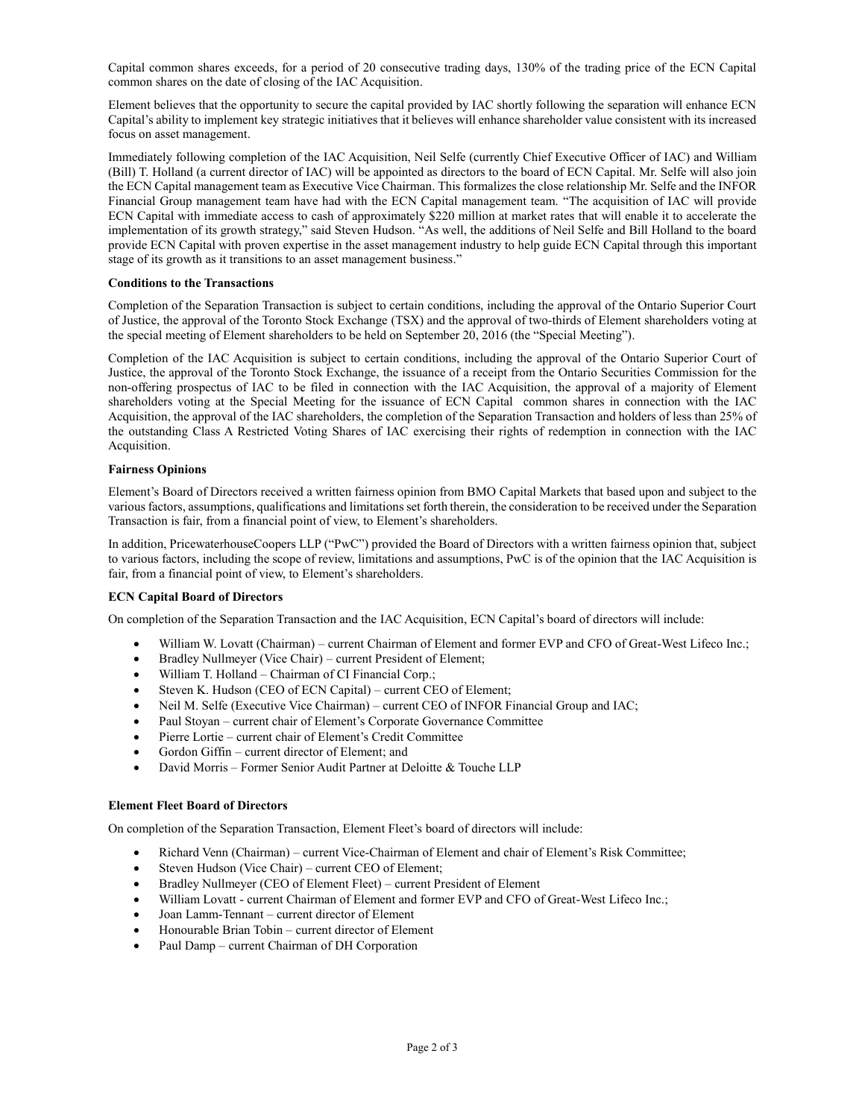Capital common shares exceeds, for a period of 20 consecutive trading days, 130% of the trading price of the ECN Capital common shares on the date of closing of the IAC Acquisition.

Element believes that the opportunity to secure the capital provided by IAC shortly following the separation will enhance ECN Capital's ability to implement key strategic initiatives that it believes will enhance shareholder value consistent with its increased focus on asset management.

Immediately following completion of the IAC Acquisition, Neil Selfe (currently Chief Executive Officer of IAC) and William (Bill) T. Holland (a current director of IAC) will be appointed as directors to the board of ECN Capital. Mr. Selfe will also join the ECN Capital management team as Executive Vice Chairman. This formalizes the close relationship Mr. Selfe and the INFOR Financial Group management team have had with the ECN Capital management team. "The acquisition of IAC will provide ECN Capital with immediate access to cash of approximately \$220 million at market rates that will enable it to accelerate the implementation of its growth strategy," said Steven Hudson. "As well, the additions of Neil Selfe and Bill Holland to the board provide ECN Capital with proven expertise in the asset management industry to help guide ECN Capital through this important stage of its growth as it transitions to an asset management business."

### **Conditions to the Transactions**

Completion of the Separation Transaction is subject to certain conditions, including the approval of the Ontario Superior Court of Justice, the approval of the Toronto Stock Exchange (TSX) and the approval of two-thirds of Element shareholders voting at the special meeting of Element shareholders to be held on September 20, 2016 (the "Special Meeting").

Completion of the IAC Acquisition is subject to certain conditions, including the approval of the Ontario Superior Court of Justice, the approval of the Toronto Stock Exchange, the issuance of a receipt from the Ontario Securities Commission for the non-offering prospectus of IAC to be filed in connection with the IAC Acquisition, the approval of a majority of Element shareholders voting at the Special Meeting for the issuance of ECN Capital common shares in connection with the IAC Acquisition, the approval of the IAC shareholders, the completion of the Separation Transaction and holders of less than 25% of the outstanding Class A Restricted Voting Shares of IAC exercising their rights of redemption in connection with the IAC Acquisition.

### **Fairness Opinions**

Element's Board of Directors received a written fairness opinion from BMO Capital Markets that based upon and subject to the various factors, assumptions, qualifications and limitations set forth therein, the consideration to be received under the Separation Transaction is fair, from a financial point of view, to Element's shareholders.

In addition, PricewaterhouseCoopers LLP ("PwC") provided the Board of Directors with a written fairness opinion that, subject to various factors, including the scope of review, limitations and assumptions, PwC is of the opinion that the IAC Acquisition is fair, from a financial point of view, to Element's shareholders.

### **ECN Capital Board of Directors**

On completion of the Separation Transaction and the IAC Acquisition, ECN Capital's board of directors will include:

- William W. Lovatt (Chairman) current Chairman of Element and former EVP and CFO of Great-West Lifeco Inc.;
- Bradley Nullmeyer (Vice Chair) current President of Element;
- William T. Holland Chairman of CI Financial Corp.;
- Steven K. Hudson (CEO of ECN Capital) current CEO of Element;
- Neil M. Selfe (Executive Vice Chairman) current CEO of INFOR Financial Group and IAC;
- Paul Stoyan current chair of Element's Corporate Governance Committee
- Pierre Lortie current chair of Element's Credit Committee
- Gordon Giffin current director of Element; and
- David Morris Former Senior Audit Partner at Deloitte & Touche LLP

### **Element Fleet Board of Directors**

On completion of the Separation Transaction, Element Fleet's board of directors will include:

- Richard Venn (Chairman) current Vice-Chairman of Element and chair of Element's Risk Committee;
- Steven Hudson (Vice Chair) current CEO of Element;
- Bradley Nullmeyer (CEO of Element Fleet) current President of Element
- William Lovatt current Chairman of Element and former EVP and CFO of Great-West Lifeco Inc.;
- Joan Lamm-Tennant current director of Element
- Honourable Brian Tobin current director of Element
- Paul Damp current Chairman of DH Corporation